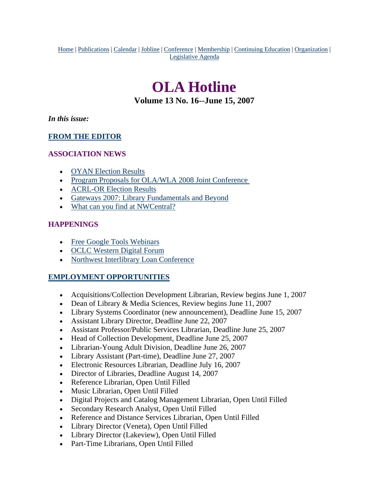<span id="page-0-0"></span>Home | Publications | Calendar | Jobline | Conference | Membership | Continuing Education | Organization | Legislative Agenda

# **OLA Hotline**

**Volume 13 No. 16--June 15, 2007**

*In this issue:*

# **[FROM THE EDITOR](#page-1-0)**

# **ASSOCIATION NEWS**

- [OYAN Election Results](#page-1-0)
- Program Proposals for OLA/WLA 2008 Joint Conference
- [ACRL-OR Election Results](#page-2-0)
- [Gateways 2007: Library Fundamentals and Beyond](#page-2-0)
- [What can you find at NWCentral?](#page-3-0)

# **HAPPENINGS**

- [Free Google Tools Webinars](#page-4-0)
- [OCLC Western Digital Forum](#page-5-0)
- [Northwest Interlibrary Loan Conference](#page-6-0)

# **EMPLOYMENT OPPORTUNITIES**

- Acquisitions/Collection Development Librarian, Review begins June 1, 2007
- Dean of Library & Media Sciences, Review begins June 11, 2007
- Library Systems Coordinator (new announcement), Deadline June 15, 2007
- Assistant Library Director, Deadline June 22, 2007
- Assistant Professor/Public Services Librarian, Deadline June 25, 2007
- Head of Collection Development, Deadline June 25, 2007
- Librarian-Young Adult Division, Deadline June 26, 2007
- Library Assistant (Part-time), Deadline June 27, 2007
- Electronic Resources Librarian, Deadline July 16, 2007
- Director of Libraries, Deadline August 14, 2007
- Reference Librarian, Open Until Filled
- Music Librarian, Open Until Filled
- Digital Projects and Catalog Management Librarian, Open Until Filled
- Secondary Research Analyst, Open Until Filled
- Reference and Distance Services Librarian, Open Until Filled
- Library Director (Veneta), Open Until Filled
- Library Director (Lakeview), Open Until Filled
- Part-Time Librarians, Open Until Filled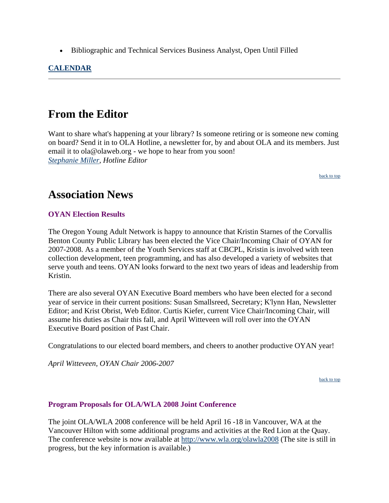<span id="page-1-0"></span>• Bibliographic and Technical Services Business Analyst, Open Until Filled

# **CALENDAR**

# **From the Editor**

Want to share what's happening at your library? Is someone retiring or is someone new coming on board? Send it in to OLA Hotline, a newsletter for, by and about OLA and its members. Just email it to ola@olaweb.org - we hope to hear from you soon! *[Stephanie Miller](mailto:ola@olaweb.org), Hotline Editor*

[back to top](#page-0-0)

# **Association News**

#### **OYAN Election Results**

The Oregon Young Adult Network is happy to announce that Kristin Starnes of the Corvallis Benton County Public Library has been elected the Vice Chair/Incoming Chair of OYAN for 2007-2008. As a member of the Youth Services staff at CBCPL, Kristin is involved with teen collection development, teen programming, and has also developed a variety of websites that serve youth and teens. OYAN looks forward to the next two years of ideas and leadership from Kristin.

There are also several OYAN Executive Board members who have been elected for a second year of service in their current positions: Susan Smallsreed, Secretary; K'lynn Han, Newsletter Editor; and Krist Obrist, Web Editor. Curtis Kiefer, current Vice Chair/Incoming Chair, will assume his duties as Chair this fall, and April Witteveen will roll over into the OYAN Executive Board position of Past Chair.

Congratulations to our elected board members, and cheers to another productive OYAN year!

*April Witteveen, OYAN Chair 2006-2007*

[back to top](#page-0-0)

#### **Program Proposals for OLA/WLA 2008 Joint Conference**

The joint OLA/WLA 2008 conference will be held April 16 -18 in Vancouver, WA at the Vancouver Hilton with some additional programs and activities at the Red Lion at the Quay. The conference website is now available at<http://www.wla.org/olawla2008>(The site is still in progress, but the key information is available.)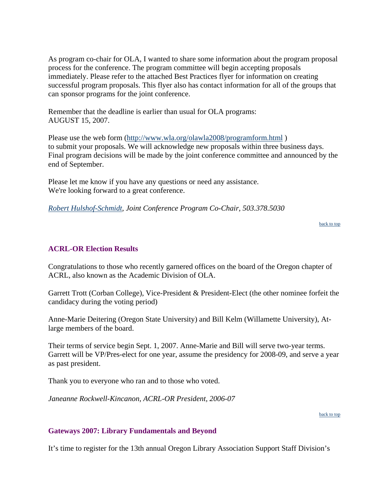<span id="page-2-0"></span>As program co-chair for OLA, I wanted to share some information about the program proposal process for the conference. The program committee will begin accepting proposals immediately. Please refer to the attached Best Practices flyer for information on creating successful program proposals. This flyer also has contact information for all of the groups that can sponsor programs for the joint conference.

Remember that the deadline is earlier than usual for OLA programs: AUGUST 15, 2007.

Please use the web form (<http://www.wla.org/olawla2008/programform.html> ) to submit your proposals. We will acknowledge new proposals within three business days. Final program decisions will be made by the joint conference committee and announced by the end of September.

Please let me know if you have any questions or need any assistance. We're looking forward to a great conference.

*[Robert Hulshof-Schmidt](mailto:robert.hulshof-schmidt@state.or.us), Joint Conference Program Co-Chair, 503.378.5030*

[back to top](#page-0-0)

# **ACRL-OR Election Results**

Congratulations to those who recently garnered offices on the board of the Oregon chapter of ACRL, also known as the Academic Division of OLA.

Garrett Trott (Corban College), Vice-President & President-Elect (the other nominee forfeit the candidacy during the voting period)

Anne-Marie Deitering (Oregon State University) and Bill Kelm (Willamette University), Atlarge members of the board.

Their terms of service begin Sept. 1, 2007. Anne-Marie and Bill will serve two-year terms. Garrett will be VP/Pres-elect for one year, assume the presidency for 2008-09, and serve a year as past president.

Thank you to everyone who ran and to those who voted.

*Janeanne Rockwell-Kincanon, ACRL-OR President, 2006-07*

[back to top](#page-0-0)

# **Gateways 2007: Library Fundamentals and Beyond**

It's time to register for the 13th annual Oregon Library Association Support Staff Division's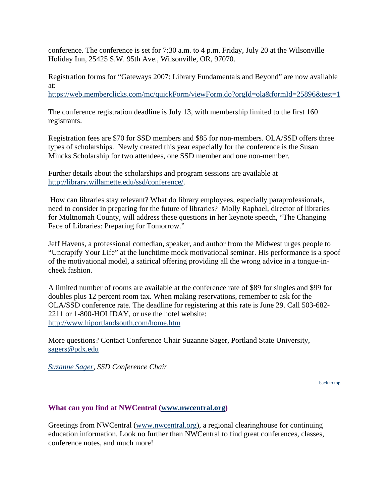<span id="page-3-0"></span>conference. The conference is set for 7:30 a.m. to 4 p.m. Friday, July 20 at the Wilsonville Holiday Inn, 25425 S.W. 95th Ave., Wilsonville, OR, 97070.

Registration forms for "Gateways 2007: Library Fundamentals and Beyond" are now available at:

<https://web.memberclicks.com/mc/quickForm/viewForm.do?orgId=ola&formId=25896&test=1>

The conference registration deadline is July 13, with membership limited to the first 160 registrants.

Registration fees are \$70 for SSD members and \$85 for non-members. OLA/SSD offers three types of scholarships. Newly created this year especially for the conference is the Susan Mincks Scholarship for two attendees, one SSD member and one non-member.

Further details about the scholarships and program sessions are available at [http://library.willamette.edu/ssd/conference/.](http://library.willamette.edu/ssd/conference/)

 How can libraries stay relevant? What do library employees, especially paraprofessionals, need to consider in preparing for the future of libraries? Molly Raphael, director of libraries for Multnomah County, will address these questions in her keynote speech, "The Changing Face of Libraries: Preparing for Tomorrow."

Jeff Havens, a professional comedian, speaker, and author from the Midwest urges people to "Uncrapify Your Life" at the lunchtime mock motivational seminar. His performance is a spoof of the motivational model, a satirical offering providing all the wrong advice in a tongue-incheek fashion.

A limited number of rooms are available at the conference rate of \$89 for singles and \$99 for doubles plus 12 percent room tax. When making reservations, remember to ask for the OLA/SSD conference rate. The deadline for registering at this rate is June 29. Call 503-682- 2211 or 1-800-HOLIDAY, or use the hotel website: <http://www.hiportlandsouth.com/home.htm>

More questions? Contact Conference Chair Suzanne Sager, Portland State University, sagers@pdx.edu

*[Suzanne Sager](mailto:sagers@pdx.edu), SSD Conference Chair*

[back to top](#page-0-0)

# **What can you find at NWCentral [\(www.nwcentral.org\)](http://www.nwcentral.org/)**

Greetings from NWCentral [\(www.nwcentral.org\)](http://www.nwcentral.org/), a regional clearinghouse for continuing education information. Look no further than NWCentral to find great conferences, classes, conference notes, and much more!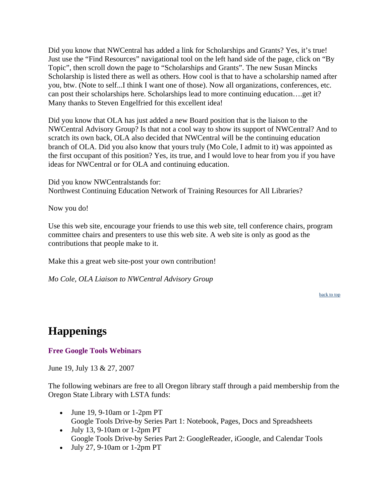<span id="page-4-0"></span>Did you know that NWCentral has added a link for Scholarships and Grants? Yes, it's true! Just use the "Find Resources" navigational tool on the left hand side of the page, click on "By Topic", then scroll down the page to "Scholarships and Grants". The new Susan Mincks Scholarship is listed there as well as others. How cool is that to have a scholarship named after you, btw. (Note to self...I think I want one of those). Now all organizations, conferences, etc. can post their scholarships here. Scholarships lead to more continuing education….get it? Many thanks to Steven Engelfried for this excellent idea!

Did you know that OLA has just added a new Board position that is the liaison to the NWCentral Advisory Group? Is that not a cool way to show its support of NWCentral? And to scratch its own back, OLA also decided that NWCentral will be the continuing education branch of OLA. Did you also know that yours truly (Mo Cole, I admit to it) was appointed as the first occupant of this position? Yes, its true, and I would love to hear from you if you have ideas for NWCentral or for OLA and continuing education.

Did you know NWCentralstands for: Northwest Continuing Education Network of Training Resources for All Libraries?

Now you do!

Use this web site, encourage your friends to use this web site, tell conference chairs, program committee chairs and presenters to use this web site. A web site is only as good as the contributions that people make to it.

Make this a great web site-post your own contribution!

*Mo Cole, OLA Liaison to NWCentral Advisory Group*

[back to top](#page-0-0)

# **Happenings**

**Free Google Tools Webinars**

June 19, July 13 & 27, 2007

The following webinars are free to all Oregon library staff through a paid membership from the Oregon State Library with LSTA funds:

- June 19, 9-10am or 1-2pm PT Google Tools Drive-by Series Part 1: Notebook, Pages, Docs and Spreadsheets
- July 13, 9-10am or 1-2pm PT Google Tools Drive-by Series Part 2: GoogleReader, iGoogle, and Calendar Tools
- July 27, 9-10am or 1-2pm PT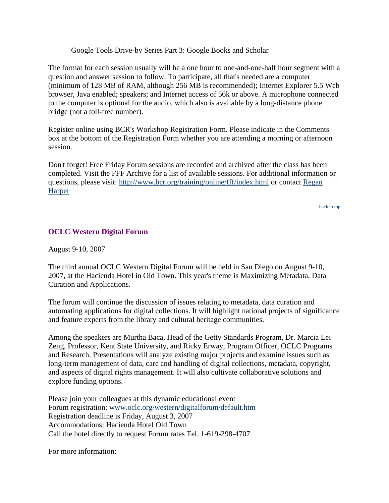Google Tools Drive-by Series Part 3: Google Books and Scholar

<span id="page-5-0"></span>The format for each session usually will be a one hour to one-and-one-half hour segment with a question and answer session to follow. To participate, all that's needed are a computer (minimum of 128 MB of RAM, although 256 MB is recommended); Internet Explorer 5.5 Web browser, Java enabled; speakers; and Internet access of 56k or above. A microphone connected to the computer is optional for the audio, which also is available by a long-distance phone bridge (not a toll-free number).

Register online using BCR's Workshop Registration Form. Please indicate in the Comments box at the bottom of the Registration Form whether you are attending a morning or afternoon session.

Don't forget! Free Friday Forum sessions are recorded and archived after the class has been completed. Visit the FFF Archive for a list of available sessions. For additional information or questions, please visit:<http://www.bcr.org/training/online/fff/index.html>or contact [Regan](mailto:rharper@bcr.org)  **[Harper](mailto:rharper@bcr.org)** 

[back to top](#page-0-0)

# **OCLC Western Digital Forum**

August 9-10, 2007

The third annual OCLC Western Digital Forum will be held in San Diego on August 9-10, 2007, at the Hacienda Hotel in Old Town. This year's theme is Maximizing Metadata, Data Curation and Applications.

The forum will continue the discussion of issues relating to metadata, data curation and automating applications for digital collections. It will highlight national projects of significance and feature experts from the library and cultural heritage communities.

Among the speakers are Murtha Baca, Head of the Getty Standards Program, Dr. Marcia Lei Zeng, Professor, Kent State University, and Ricky Erway, Program Officer, OCLC Programs and Research. Presentations will analyze existing major projects and examine issues such as long-term management of data, care and handling of digital collections, metadata, copyright, and aspects of digital rights management. It will also cultivate collaborative solutions and explore funding options.

Please join your colleagues at this dynamic educational event Forum registration: www.oclc.org/western/digitalforum/default.htm Registration deadline is Friday, August 3, 2007 Accommodations: Hacienda Hotel Old Town Call the hotel directly to request Forum rates Tel. 1-619-298-4707

For more information: